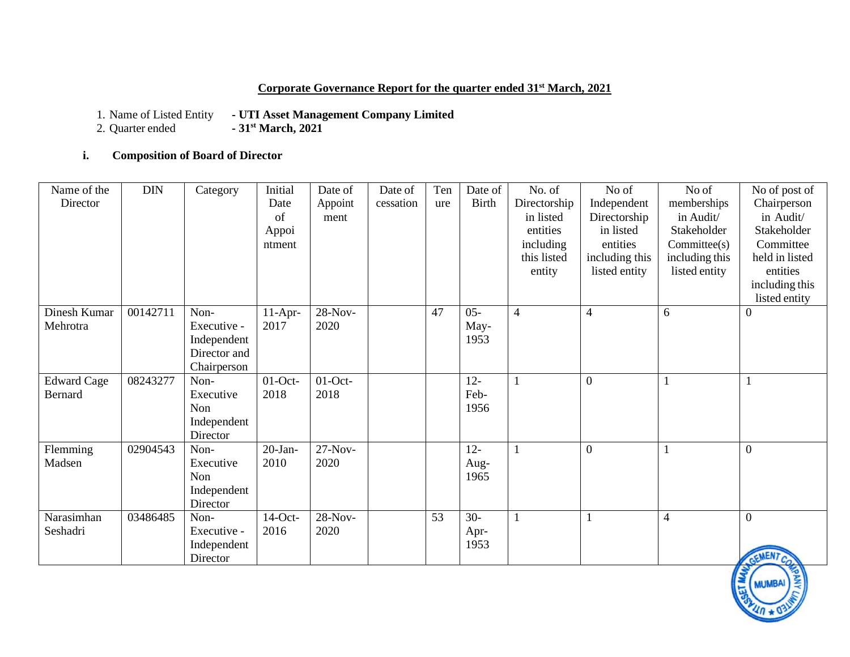## **Corporate Governance Report for the quarter ended 31st March, 2021**

1. Name of Listed Entity **- UTI Asset Management Company Limited**<br>2. Quarter ended **- 31<sup>st</sup> March, 2021** 

2. Quarter ended **- 31st March, 2021**

## **i. Composition of Board of Director**

| Name of the<br>Director              | <b>DIN</b> | Category                                                          | Initial<br>Date<br>of<br>Appoi<br>ntment | Date of<br>Appoint<br>ment | Date of<br>cessation | Ten<br>ure | Date of<br><b>Birth</b> | No. of<br>Directorship<br>in listed<br>entities<br>including<br>this listed<br>entity | No of<br>Independent<br>Directorship<br>in listed<br>entities<br>including this<br>listed entity | No of<br>memberships<br>in Audit/<br>Stakeholder<br>Committed(s)<br>including this<br>listed entity | No of post of<br>Chairperson<br>in Audit/<br>Stakeholder<br>Committee<br>held in listed<br>entities<br>including this<br>listed entity |
|--------------------------------------|------------|-------------------------------------------------------------------|------------------------------------------|----------------------------|----------------------|------------|-------------------------|---------------------------------------------------------------------------------------|--------------------------------------------------------------------------------------------------|-----------------------------------------------------------------------------------------------------|----------------------------------------------------------------------------------------------------------------------------------------|
| Dinesh Kumar<br>Mehrotra             | 00142711   | Non-<br>Executive -<br>Independent<br>Director and<br>Chairperson | $11-Apr-$<br>2017                        | 28-Nov-<br>2020            |                      | 47         | $05 -$<br>May-<br>1953  | $\overline{4}$                                                                        | $\overline{4}$                                                                                   | 6                                                                                                   | $\boldsymbol{0}$                                                                                                                       |
| <b>Edward Cage</b><br><b>Bernard</b> | 08243277   | Non-<br>Executive<br>Non<br>Independent<br>Director               | $01$ -Oct-<br>2018                       | $01$ -Oct-<br>2018         |                      |            | $12 -$<br>Feb-<br>1956  |                                                                                       | $\boldsymbol{0}$                                                                                 |                                                                                                     | 1                                                                                                                                      |
| Flemming<br>Madsen                   | 02904543   | Non-<br>Executive<br>Non<br>Independent<br>Director               | $20-Ian-$<br>2010                        | $27-Nov-$<br>2020          |                      |            | $12 -$<br>Aug-<br>1965  | 1                                                                                     | $\boldsymbol{0}$                                                                                 |                                                                                                     | $\mathbf{0}$                                                                                                                           |
| Narasimhan<br>Seshadri               | 03486485   | Non-<br>Executive -<br>Independent<br>Director                    | $14$ -Oct-<br>2016                       | $28-Nov-$<br>2020          |                      | 53         | $30-$<br>Apr-<br>1953   |                                                                                       |                                                                                                  | $\overline{4}$                                                                                      | $\mathbf{0}$<br><b>NEN7</b>                                                                                                            |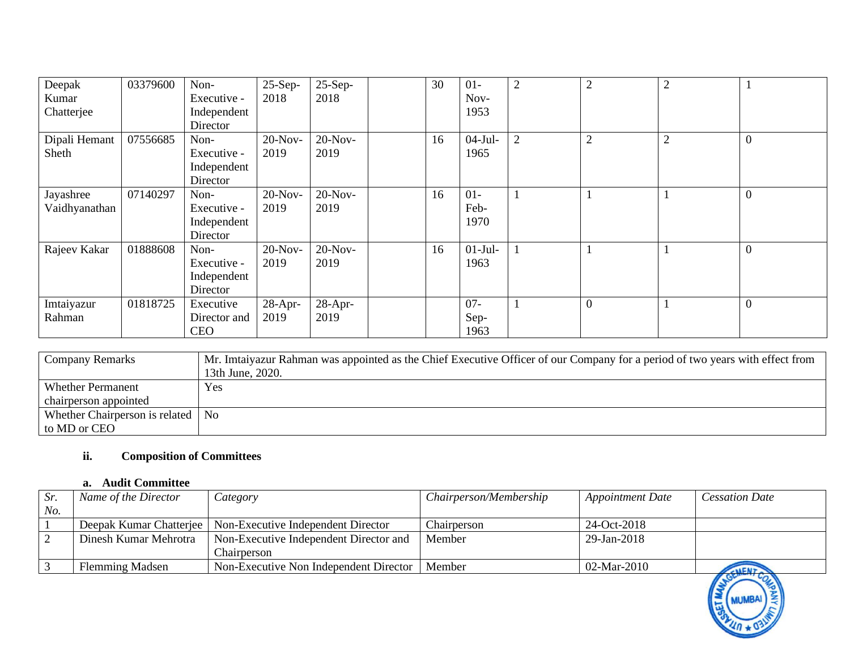| Deepak<br>Kumar<br>Chatterjee | 03379600 | Non-<br>Executive -<br>Independent<br>Director | $25-Sep-$<br>2018 | $25-Sep-$<br>2018  | 30 | $01-$<br>Nov-<br>1953  | $\mathfrak{2}$ | $\overline{2}$ | $\overline{2}$ |                |
|-------------------------------|----------|------------------------------------------------|-------------------|--------------------|----|------------------------|----------------|----------------|----------------|----------------|
| Dipali Hemant<br>Sheth        | 07556685 | Non-<br>Executive -<br>Independent<br>Director | $20-Nov-$<br>2019 | $20-Nov-$<br>2019  | 16 | $04-Jul-$<br>1965      | 2              | $\overline{2}$ | $\overline{2}$ | $\overline{0}$ |
| Jayashree<br>Vaidhyanathan    | 07140297 | Non-<br>Executive -<br>Independent<br>Director | $20-Nov-$<br>2019 | $20-Nov-$<br>2019  | 16 | $01-$<br>Feb-<br>1970  |                |                |                | $\overline{0}$ |
| Rajeev Kakar                  | 01888608 | Non-<br>Executive -<br>Independent<br>Director | $20-Nov-$<br>2019 | $20-Nov-$<br>2019  | 16 | $01-Jul-$<br>1963      |                |                |                | $\overline{0}$ |
| Imtaiyazur<br>Rahman          | 01818725 | Executive<br>Director and<br><b>CEO</b>        | $28-Apr-$<br>2019 | $28$ -Apr-<br>2019 |    | $07 -$<br>Sep-<br>1963 |                | $\mathbf{0}$   |                | $\mathbf{0}$   |

| <b>Company Remarks</b>              | Mr. Imtaiyazur Rahman was appointed as the Chief Executive Officer of our Company for a period of two years with effect from |
|-------------------------------------|------------------------------------------------------------------------------------------------------------------------------|
|                                     | 13th June, 2020.                                                                                                             |
| <b>Whether Permanent</b>            | Yes                                                                                                                          |
| chairperson appointed               |                                                                                                                              |
| Whether Chairperson is related   No |                                                                                                                              |
| to MD or CEO                        |                                                                                                                              |

## **ii. Composition of Committees**

#### **a. Audit Committee**

| Sr  | Name of the Director  | Category                                                     | Chairperson/Membership | <b>Appointment Date</b> | <b>Cessation Date</b>                           |
|-----|-----------------------|--------------------------------------------------------------|------------------------|-------------------------|-------------------------------------------------|
| No. |                       |                                                              |                        |                         |                                                 |
|     |                       | Deepak Kumar Chatterjee   Non-Executive Independent Director | Chairperson            | 24-Oct-2018             |                                                 |
|     | Dinesh Kumar Mehrotra | Non-Executive Independent Director and                       | Member                 | 29-Jan-2018             |                                                 |
|     |                       | Chairnerson                                                  |                        |                         |                                                 |
|     | Flemming Madsen       | Non-Executive Non Independent Director                       | Member                 | 02-Mar-2010             | <b>ALENY N</b><br>$\mathbf{v}$ and $\mathbf{v}$ |

8

**MUMBA**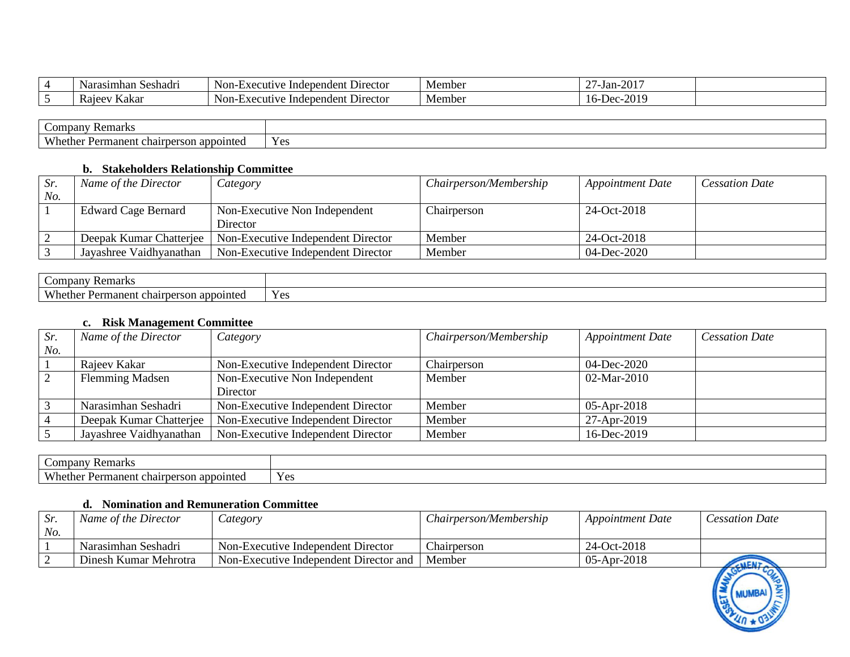|                 | Narasımhan<br>Seshadr | - -<br>Non-<br>e Independent Director<br>$\lrcorner$ xecutiv $\lrcorner$ | Membe. | $\sim$ $\sim$ $\sim$<br>~-<br>/-Jan-<br>'∠∪ |  |
|-----------------|-----------------------|--------------------------------------------------------------------------|--------|---------------------------------------------|--|
| $\sim$ $\prime$ | Kakai<br>Raje         | $\mathbf{r}$<br>. Director<br>Non-<br>ve Independent<br>∕utiv∴<br>۸٤     | Member | 2010<br>ില                                  |  |

| _ompa*<br>$\mathbb{R}^n$ Remain<br>anv                                                          |                   |
|-------------------------------------------------------------------------------------------------|-------------------|
| $\mathbf{X} \mathbf{X}$<br>0.42.42<br>nent<br>moin<br>ິ<br>rm<br>. .<br>ан<br>$\mathbf{u}$<br>. | $V \alpha$<br>، ب |

#### **b. Stakeholders Relationship Committee**

| Sr. | Name of the Director       | Category                                                     | Chairperson/Membership | <b>Appointment Date</b> | <b>Cessation Date</b> |
|-----|----------------------------|--------------------------------------------------------------|------------------------|-------------------------|-----------------------|
| No. |                            |                                                              |                        |                         |                       |
|     | <b>Edward Cage Bernard</b> | Non-Executive Non Independent                                | Chairperson            | 24-Oct-2018             |                       |
|     |                            | Director                                                     |                        |                         |                       |
|     |                            | Deepak Kumar Chatterjee   Non-Executive Independent Director | Member                 | 24-Oct-2018             |                       |
|     | Jayashree Vaidhyanathan    | Non-Executive Independent Director                           | Member                 | 04-Dec-2020             |                       |

| ∽<br>$\mathcal{L}$ omr<br>Remarks<br>pany                                         |                      |
|-----------------------------------------------------------------------------------|----------------------|
| <b>XX71</b><br>nanent<br>son appointed<br>chairpers<br><i><u>Lorro</u></i><br>ner | $V_{\alpha}$<br>I CS |

## **c. Risk Management Committee**

| Sr. | Name of the Director    | Category                           | Chairperson/Membership | <b>Appointment Date</b> | <b>Cessation Date</b> |
|-----|-------------------------|------------------------------------|------------------------|-------------------------|-----------------------|
| No. |                         |                                    |                        |                         |                       |
|     | Rajeev Kakar            | Non-Executive Independent Director | Chairperson            | 04-Dec-2020             |                       |
|     | <b>Flemming Madsen</b>  | Non-Executive Non Independent      | Member                 | 02-Mar-2010             |                       |
|     |                         | Director                           |                        |                         |                       |
|     | Narasimhan Seshadri     | Non-Executive Independent Director | Member                 | $05-Apr-2018$           |                       |
|     | Deepak Kumar Chatterjee | Non-Executive Independent Director | Member                 | 27-Apr-2019             |                       |
|     | Jayashree Vaidhyanathan | Non-Executive Independent Director | Member                 | 16-Dec-2019             |                       |

| ompan<br>Remarks                                                      |                       |
|-----------------------------------------------------------------------|-----------------------|
| Whethe.<br>app<br>mane <sup>,</sup><br>ointe<br>cnan<br>son<br>.<br>. | $V_{\alpha}$<br>1 U.S |

#### **d. Nomination and Remuneration Committee**

| Sr  | Name of the Director  | <i>category</i>                        | Chairperson/Membership | <b>Appointment Date</b> | <b>Cessation Date</b> |
|-----|-----------------------|----------------------------------------|------------------------|-------------------------|-----------------------|
| No. |                       |                                        |                        |                         |                       |
|     | Narasimhan Seshadri   | Non-Executive Independent Director     | Chairperson            | 24-Oct-2018             |                       |
|     | Dinesh Kumar Mehrotra | Non-Executive Independent Director and | Member                 | $05$ -Apr-2018          | <b>ALENY</b>          |
|     |                       |                                        |                        |                         | $L_{\alpha}$          |

**MUMBA**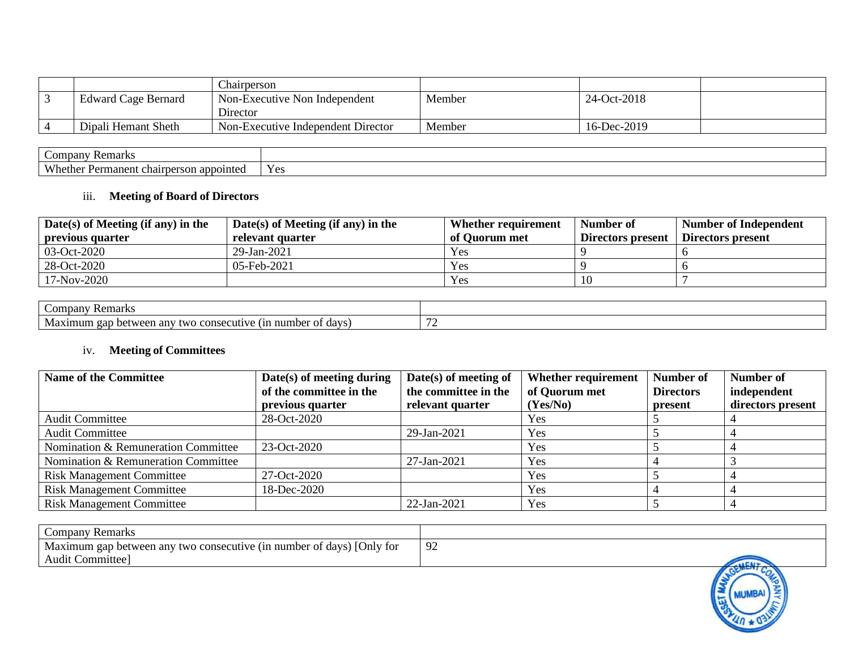|                            | Chairperson                        |        |             |  |
|----------------------------|------------------------------------|--------|-------------|--|
| <b>Edward Cage Bernard</b> | Non-Executive Non Independent      | Member | 24-Oct-2018 |  |
|                            | Director                           |        |             |  |
| Dipali Hemant Sheth        | Non-Executive Independent Director | Member | 16-Dec-2019 |  |

| <b>Remarks</b><br>Company                                                 |                                               |
|---------------------------------------------------------------------------|-----------------------------------------------|
| <b>Wh</b><br>manen.<br>annointeo<br>レヘヤ<br>son<br>. cnair<br>ner<br>71 D. | $\tilde{\phantom{a}}$<br>$Y_{\alpha}$<br>1 C. |

## iii. **Meeting of Board of Directors**

| Date(s) of Meeting (if any) in the | $Date(s)$ of Meeting (if any) in the | Whether requirement | Number of         | <b>Number of Independent</b> |
|------------------------------------|--------------------------------------|---------------------|-------------------|------------------------------|
| previous quarter                   | relevant quarter                     | of Quorum met       | Directors present | Directors present            |
| $03-Oct-2020$                      | $29$ -Jan-2021                       | <b>Yes</b>          |                   |                              |
| 28-Oct-2020                        | 05-Feb-2021                          | Yes                 |                   |                              |
| 17-Nov-2020                        |                                      | Yes                 | 10                |                              |

| Remarks<br>Compan                                                                                   |  |
|-----------------------------------------------------------------------------------------------------|--|
| 1n<br>gap<br>$\Delta \Delta r$<br>num<br>dave<br>ΩŤ<br>any<br>'h∩r<br>hetw<br>two<br>11114111<br>ua |  |

# iv. **Meeting of Committees**

| <b>Name of the Committee</b>        | $Date(s)$ of meeting during | $Date(s)$ of meeting of | Whether requirement | Number of        | Number of         |
|-------------------------------------|-----------------------------|-------------------------|---------------------|------------------|-------------------|
|                                     | of the committee in the     | the committee in the    | of Quorum met       | <b>Directors</b> | independent       |
|                                     | previous quarter            | relevant quarter        | (Yes/No)            | present          | directors present |
| <b>Audit Committee</b>              | 28-Oct-2020                 |                         | Yes                 |                  |                   |
| <b>Audit Committee</b>              |                             | 29-Jan-2021             | Yes                 |                  |                   |
| Nomination & Remuneration Committee | 23-Oct-2020                 |                         | Yes                 |                  |                   |
| Nomination & Remuneration Committee |                             | 27-Jan-2021             | Yes                 |                  |                   |
| <b>Risk Management Committee</b>    | 27-Oct-2020                 |                         | Yes                 |                  |                   |
| <b>Risk Management Committee</b>    | 18-Dec-2020                 |                         | Yes                 |                  |                   |
| <b>Risk Management Committee</b>    |                             | 22-Jan-2021             | Yes                 |                  |                   |

| <b>Company Remarks</b>                                                |               |
|-----------------------------------------------------------------------|---------------|
| Maximum gap between any two consecutive (in number of days) [Only for | 92            |
| Audit Committee]                                                      | <b>ALCAIN</b> |
|                                                                       | $\mathbf{u}$  |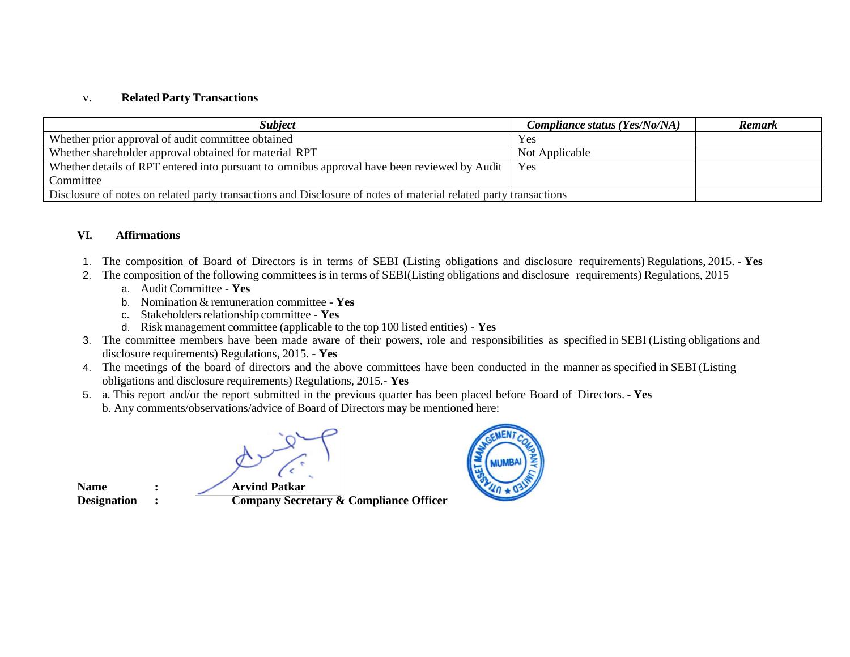#### v. **Related Party Transactions**

| <i><b>Subject</b></i>                                                                                            | Compliance status (Yes/No/NA) | <b>Remark</b> |
|------------------------------------------------------------------------------------------------------------------|-------------------------------|---------------|
| Whether prior approval of audit committee obtained                                                               | Yes                           |               |
| Whether shareholder approval obtained for material RPT                                                           | Not Applicable                |               |
| Whether details of RPT entered into pursuant to omnibus approval have been reviewed by Audit                     | Yes                           |               |
| Committee                                                                                                        |                               |               |
| Disclosure of notes on related party transactions and Disclosure of notes of material related party transactions |                               |               |

#### **VI. Affirmations**

- 1. The composition of Board of Directors is in terms of SEBI (Listing obligations and disclosure requirements) Regulations, 2015. **Yes**
- 2. The composition of the following committees is in terms of SEBI(Listing obligations and disclosure requirements) Regulations, 2015
	- a. Audit Committee **Yes**
	- b. Nomination & remuneration committee **Yes**
	- c. Stakeholders relationship committee Yes
	- d. Risk management committee (applicable to the top 100 listed entities) **- Yes**
- 3. The committee members have been made aware of their powers, role and responsibilities as specified in SEBI (Listing obligations and disclosure requirements) Regulations, 2015. **- Yes**
- 4. The meetings of the board of directors and the above committees have been conducted in the manner as specified in SEBI (Listing obligations and disclosure requirements) Regulations, 2015.**- Yes**
- 5. a. This report and/or the report submitted in the previous quarter has been placed before Board of Directors. **- Yes** b. Any comments/observations/advice of Board of Directors may be mentioned here:

**Name : Arvind Patkar**

**Designation : Company Secretary & Compliance Officer** 

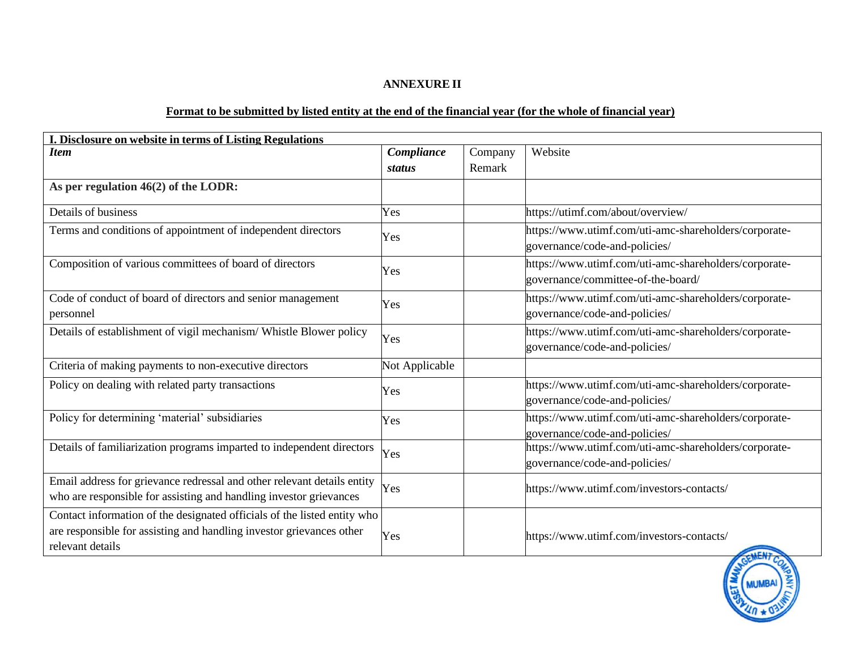# **ANNEXURE II**

## Format to be submitted by listed entity at the end of the financial year (for the whole of financial year)

| I. Disclosure on website in terms of Listing Regulations                                                                                                             |                |         |                                                                                             |  |  |
|----------------------------------------------------------------------------------------------------------------------------------------------------------------------|----------------|---------|---------------------------------------------------------------------------------------------|--|--|
| <b>Item</b>                                                                                                                                                          | Compliance     | Company | Website                                                                                     |  |  |
|                                                                                                                                                                      | status         | Remark  |                                                                                             |  |  |
| As per regulation 46(2) of the LODR:                                                                                                                                 |                |         |                                                                                             |  |  |
| Details of business                                                                                                                                                  | Yes            |         | https://utimf.com/about/overview/                                                           |  |  |
| Terms and conditions of appointment of independent directors                                                                                                         | Yes            |         | https://www.utimf.com/uti-amc-shareholders/corporate-<br>governance/code-and-policies/      |  |  |
| Composition of various committees of board of directors                                                                                                              | Yes            |         | https://www.utimf.com/uti-amc-shareholders/corporate-<br>governance/committee-of-the-board/ |  |  |
| Code of conduct of board of directors and senior management<br>personnel                                                                                             | Yes            |         | https://www.utimf.com/uti-amc-shareholders/corporate-<br>governance/code-and-policies/      |  |  |
| Details of establishment of vigil mechanism/ Whistle Blower policy                                                                                                   | Yes            |         | https://www.utimf.com/uti-amc-shareholders/corporate-<br>governance/code-and-policies/      |  |  |
| Criteria of making payments to non-executive directors                                                                                                               | Not Applicable |         |                                                                                             |  |  |
| Policy on dealing with related party transactions                                                                                                                    | Yes            |         | https://www.utimf.com/uti-amc-shareholders/corporate-<br>governance/code-and-policies/      |  |  |
| Policy for determining 'material' subsidiaries                                                                                                                       | Yes            |         | https://www.utimf.com/uti-amc-shareholders/corporate-<br>governance/code-and-policies/      |  |  |
| Details of familiarization programs imparted to independent directors                                                                                                | Yes            |         | https://www.utimf.com/uti-amc-shareholders/corporate-<br>governance/code-and-policies/      |  |  |
| Email address for grievance redressal and other relevant details entity<br>who are responsible for assisting and handling investor grievances                        | Yes            |         | https://www.utimf.com/investors-contacts/                                                   |  |  |
| Contact information of the designated officials of the listed entity who<br>are responsible for assisting and handling investor grievances other<br>relevant details | Yes            |         | https://www.utimf.com/investors-contacts/                                                   |  |  |

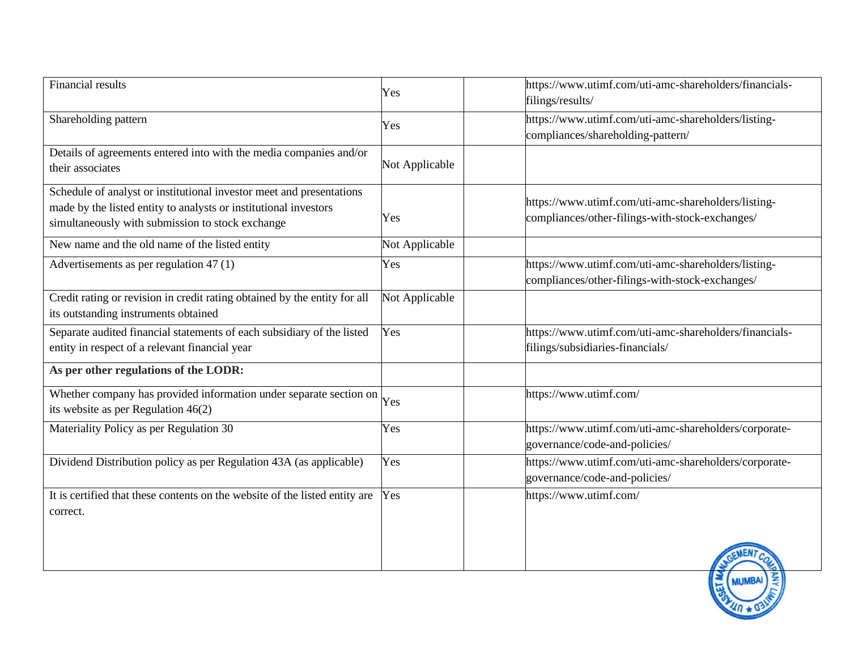| <b>Financial results</b>                                                                                                                                                                     | Yes            | https://www.utimf.com/uti-amc-shareholders/financials-<br>filings/results/                             |
|----------------------------------------------------------------------------------------------------------------------------------------------------------------------------------------------|----------------|--------------------------------------------------------------------------------------------------------|
| Shareholding pattern                                                                                                                                                                         | Yes            | https://www.utimf.com/uti-amc-shareholders/listing-<br>compliances/shareholding-pattern/               |
| Details of agreements entered into with the media companies and/or<br>their associates                                                                                                       | Not Applicable |                                                                                                        |
| Schedule of analyst or institutional investor meet and presentations<br>made by the listed entity to analysts or institutional investors<br>simultaneously with submission to stock exchange | Yes            | https://www.utimf.com/uti-amc-shareholders/listing-<br>compliances/other-filings-with-stock-exchanges/ |
| New name and the old name of the listed entity                                                                                                                                               | Not Applicable |                                                                                                        |
| Advertisements as per regulation 47 (1)                                                                                                                                                      | Yes            | https://www.utimf.com/uti-amc-shareholders/listing-<br>compliances/other-filings-with-stock-exchanges/ |
| Credit rating or revision in credit rating obtained by the entity for all<br>its outstanding instruments obtained                                                                            | Not Applicable |                                                                                                        |
| Separate audited financial statements of each subsidiary of the listed<br>entity in respect of a relevant financial year                                                                     | Yes            | https://www.utimf.com/uti-amc-shareholders/financials-<br>filings/subsidiaries-financials/             |
| As per other regulations of the LODR:                                                                                                                                                        |                |                                                                                                        |
| Whether company has provided information under separate section on<br>its website as per Regulation $46(2)$                                                                                  | Yes            | https://www.utimf.com/                                                                                 |
| Materiality Policy as per Regulation 30                                                                                                                                                      | Yes            | https://www.utimf.com/uti-amc-shareholders/corporate-<br>governance/code-and-policies/                 |
| Dividend Distribution policy as per Regulation 43A (as applicable)                                                                                                                           | Yes            | https://www.utimf.com/uti-amc-shareholders/corporate-<br>governance/code-and-policies/                 |
| It is certified that these contents on the website of the listed entity are<br>correct.                                                                                                      | Yes            | https://www.utimf.com/                                                                                 |
|                                                                                                                                                                                              |                |                                                                                                        |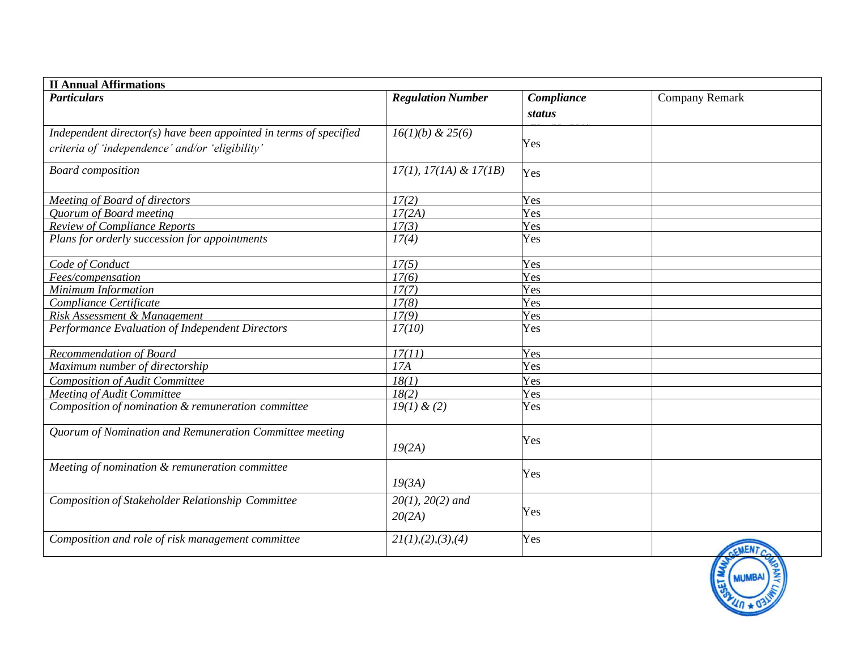| <b>II Annual Affirmations</b>                                     |                           |            |                       |
|-------------------------------------------------------------------|---------------------------|------------|-----------------------|
| <b>Particulars</b>                                                | <b>Regulation Number</b>  | Compliance | <b>Company Remark</b> |
|                                                                   |                           | status     |                       |
| Independent director(s) have been appointed in terms of specified | $16(1)(b)$ & 25(6)        |            |                       |
| criteria of 'independence' and/or 'eligibility'                   |                           | Yes        |                       |
|                                                                   |                           |            |                       |
| <b>Board</b> composition                                          | $17(1), 17(1A) \& 17(1B)$ | Yes        |                       |
|                                                                   |                           |            |                       |
| Meeting of Board of directors                                     | 17(2)                     | Yes        |                       |
| Quorum of Board meeting                                           | 17(2A)                    | Yes        |                       |
| <b>Review of Compliance Reports</b>                               | 17(3)                     | Yes        |                       |
| Plans for orderly succession for appointments                     | 17(4)                     | Yes        |                       |
|                                                                   |                           |            |                       |
| Code of Conduct                                                   | 17(5)                     | Yes        |                       |
| Fees/compensation                                                 | 17(6)                     | Yes        |                       |
| Minimum Information                                               | 17(7)                     | Yes        |                       |
| Compliance Certificate                                            | 17(8)                     | Yes        |                       |
| Risk Assessment & Management                                      | 17(9)                     | Yes        |                       |
| Performance Evaluation of Independent Directors                   | 17(10)                    | Yes        |                       |
| Recommendation of Board                                           | 17(11)                    | Yes        |                       |
| Maximum number of directorship                                    | 17A                       | Yes        |                       |
| <b>Composition of Audit Committee</b>                             | 18(1)                     | Yes        |                       |
| <b>Meeting of Audit Committee</b>                                 | 18(2)                     | Yes        |                       |
| Composition of nomination & remuneration committee                | $19(1)$ & (2)             | Yes        |                       |
| Quorum of Nomination and Remuneration Committee meeting           |                           |            |                       |
|                                                                   | 19(2A)                    | Yes        |                       |
|                                                                   |                           |            |                       |
| Meeting of nomination & remuneration committee                    |                           | Yes        |                       |
|                                                                   | 19(3A)                    |            |                       |
| Composition of Stakeholder Relationship Committee                 | $20(1)$ , $20(2)$ and     |            |                       |
|                                                                   | 20(2A)                    | Yes        |                       |
|                                                                   |                           |            |                       |
| Composition and role of risk management committee                 | 21(1), (2), (3), (4)      | Yes        |                       |
|                                                                   |                           |            |                       |
|                                                                   |                           |            |                       |
|                                                                   |                           |            |                       |
|                                                                   |                           |            |                       |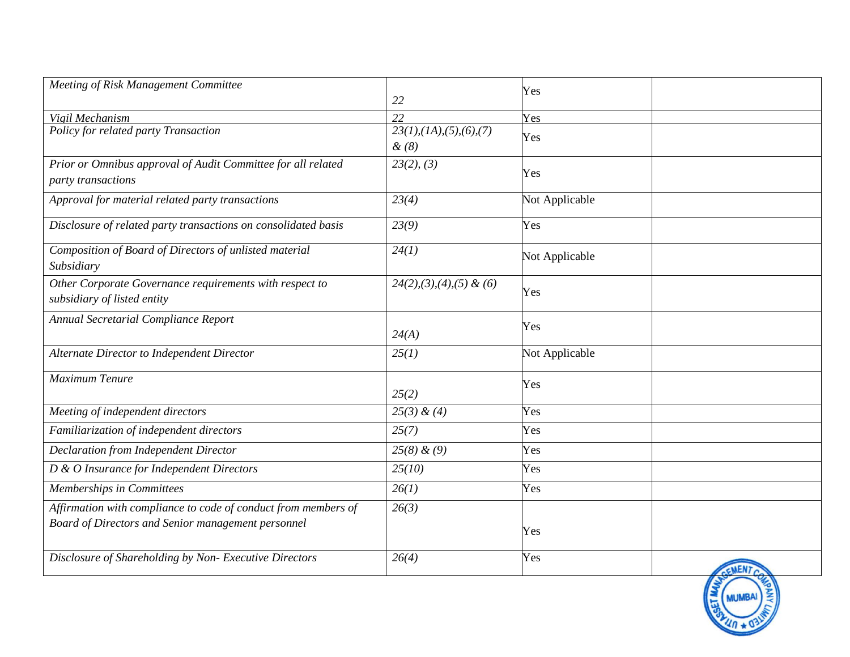| Meeting of Risk Management Committee                                                   | 22                                                  | Yes            |  |
|----------------------------------------------------------------------------------------|-----------------------------------------------------|----------------|--|
| Vigil Mechanism                                                                        | 22                                                  | Yes            |  |
| Policy for related party Transaction                                                   | $23(1)$ , $(1A)$ , $(5)$ , $(6)$ , $(7)$<br>$\&(8)$ | Yes            |  |
| Prior or Omnibus approval of Audit Committee for all related<br>party transactions     | 23(2), (3)                                          | Yes            |  |
| Approval for material related party transactions                                       | 23(4)                                               | Not Applicable |  |
| Disclosure of related party transactions on consolidated basis                         | 23(9)                                               | Yes            |  |
| Composition of Board of Directors of unlisted material<br>Subsidiary                   | 24(1)                                               | Not Applicable |  |
| Other Corporate Governance requirements with respect to<br>subsidiary of listed entity | $24(2), (3), (4), (5)$ & (6)                        | Yes            |  |
| Annual Secretarial Compliance Report                                                   | 24(A)                                               | Yes            |  |
| Alternate Director to Independent Director                                             | 25(1)                                               | Not Applicable |  |
| Maximum Tenure                                                                         | 25(2)                                               | Yes            |  |
| Meeting of independent directors                                                       | $25(3)$ & (4)                                       | Yes            |  |
| Familiarization of independent directors                                               | 25(7)                                               | Yes            |  |
| <b>Declaration from Independent Director</b>                                           | $25(8)$ & (9)                                       | Yes            |  |
| D & O Insurance for Independent Directors                                              | 25(10)                                              | Yes            |  |
| <b>Memberships in Committees</b>                                                       | 26(1)                                               | Yes            |  |
| Affirmation with compliance to code of conduct from members of                         | 26(3)                                               |                |  |
| Board of Directors and Senior management personnel                                     |                                                     | Yes            |  |
| Disclosure of Shareholding by Non- Executive Directors                                 | 26(4)                                               | Yes            |  |